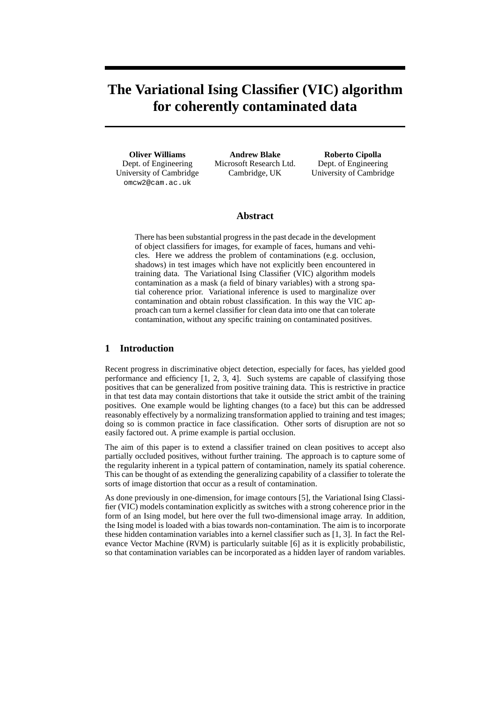# **The Variational Ising Classifier (VIC) algorithm for coherently contaminated data**

**Oliver Williams** Dept. of Engineering University of Cambridge omcw2@cam.ac.uk

**Andrew Blake** Microsoft Research Ltd. Cambridge, UK

**Roberto Cipolla** Dept. of Engineering University of Cambridge

# **Abstract**

There has been substantial progress in the past decade in the development of object classifiers for images, for example of faces, humans and vehicles. Here we address the problem of contaminations (e.g. occlusion, shadows) in test images which have not explicitly been encountered in training data. The Variational Ising Classifier (VIC) algorithm models contamination as a mask (a field of binary variables) with a strong spatial coherence prior. Variational inference is used to marginalize over contamination and obtain robust classification. In this way the VIC approach can turn a kernel classifier for clean data into one that can tolerate contamination, without any specific training on contaminated positives.

# **1 Introduction**

Recent progress in discriminative object detection, especially for faces, has yielded good performance and efficiency [1, 2, 3, 4]. Such systems are capable of classifying those positives that can be generalized from positive training data. This is restrictive in practice in that test data may contain distortions that take it outside the strict ambit of the training positives. One example would be lighting changes (to a face) but this can be addressed reasonably effectively by a normalizing transformation applied to training and test images; doing so is common practice in face classification. Other sorts of disruption are not so easily factored out. A prime example is partial occlusion.

The aim of this paper is to extend a classifier trained on clean positives to accept also partially occluded positives, without further training. The approach is to capture some of the regularity inherent in a typical pattern of contamination, namely its spatial coherence. This can be thought of as extending the generalizing capability of a classifier to tolerate the sorts of image distortion that occur as a result of contamination.

As done previously in one-dimension, for image contours [5], the Variational Ising Classifier (VIC) models contamination explicitly as switches with a strong coherence prior in the form of an Ising model, but here over the full two-dimensional image array. In addition, the Ising model is loaded with a bias towards non-contamination. The aim is to incorporate these hidden contamination variables into a kernel classifier such as [1, 3]. In fact the Relevance Vector Machine (RVM) is particularly suitable [6] as it is explicitly probabilistic, so that contamination variables can be incorporated as a hidden layer of random variables.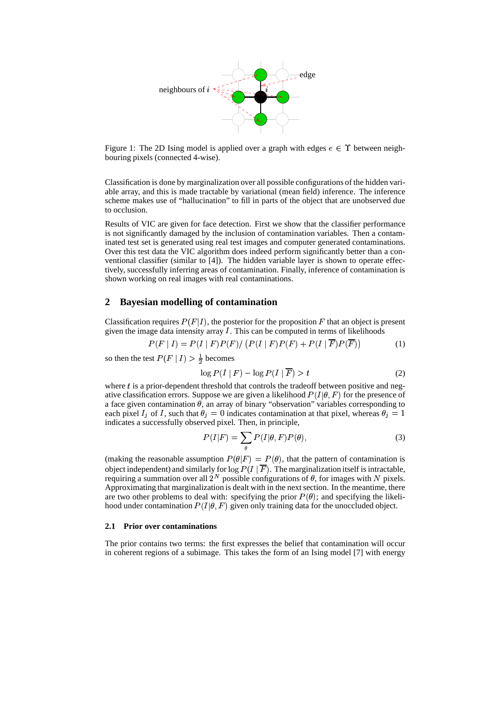

Figure 1: The 2D Ising model is applied over a graph with edges  $e \in \Upsilon$  between neighbouring pixels (connected 4-wise).

Classification is done by marginalization over all possible configurations of the hidden variable array, and this is made tractable by variational (mean field) inference. The inference scheme makes use of "hallucination" to fill in parts of the object that are unobserved due to occlusion.

Results of VIC are given for face detection. First we show that the classifier performance is not significantly damaged by the inclusion of contamination variables. Then a contaminated test set is generated using real test images and computer generated contaminations. Over this test data the VIC algorithm does indeed perform significantly better than a conventional classifier (similar to [4]). The hidden variable layer is shown to operate effectively, successfully inferring areas of contamination. Finally, inference of contamination is shown working on real images with real contaminations.

# **2 Bayesian modelling of contamination**

Classification requires  $P(F|I)$ , the posterior for the proposition F that an object is present given the image data intensity array  $I$ . This can be computed in terms of likelihoods

$$
P(F | I) = P(I | F)P(F) / (P(I | F)P(F) + P(I | F)P(F))
$$
\n(1)

so then the test  $P(F | I) > \frac{1}{2}$  becomes

$$
\log P(I \mid F) - \log P(I \mid \overline{F}) > t \tag{2}
$$

where  $t$  is a prior-dependent threshold that controls the tradeoff between positive and negative classification errors. Suppose we are given a likelihood  $P(I|\theta, F)$  for the presence of a face given contamination  $\theta$ , an array of binary "observation" variables corresponding to each pixel  $I_j$  of I, such that  $\theta_j = 0$  indicates contamination at that pixel, whereas  $\theta_j = 1$ and the contract of the contract of the contract of the contract of the contract of the contract of the contract of the contract of the contract of the contract of the contract of the contract of the contract of the contra indicates a successfully observed pixel. Then, in principle,

$$
P(I|F) = \sum_{\theta} P(I|\theta, F)P(\theta),
$$
\n(3)

(making the reasonable assumption  $P(\theta|F) = P(\theta)$ , that the pattern of contamination is object independent) and similarly for  $\log P(I | \overline{F})$ . The marginalization itself is intractable, requiring a summation over all  $2^N$  possible configurations of  $\theta$ , for images with N pixels. Approximating that marginalization is dealt with in the next section. In the meantime, there are two other problems to deal with: specifying the prior  $P(\theta)$ ; and specifying the likelihood under contamination  $P(I|\theta, F)$  given only training data for the unoccluded object.

#### **2.1 Prior over contaminations**

The prior contains two terms: the first expresses the belief that contamination will occur in coherent regions of a subimage. This takes the form of an Ising model [7] with energy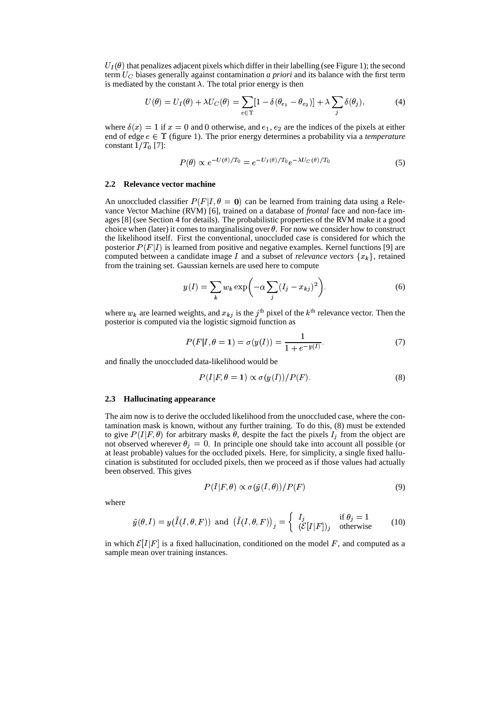$U_I(\theta)$  that penalizes adjacent pixels which differ in their labelling (see Figure 1); the second term  $U_C$  biases generally against contamination *a priori* and its balance with the first term is mediated by the constant  $\lambda$ . The total prior energy is then

$$
U(\theta) = U_I(\theta) + \lambda U_C(\theta) = \sum_{e \in \Upsilon} [1 - \delta(\theta_{e_1} - \theta_{e_2})] + \lambda \sum_j \delta(\theta_j), \tag{4}
$$

where  $\delta(x) = 1$  if  $x = 0$  and 0 otherwise, and  $e_1, e_2$  are the indices of the pixels at either end of edge  $e \in \Upsilon$  (figure 1). The prior energy determines a probability via a *temperature* constant  $1/T_0$  [7]:

$$
P(\theta) \propto e^{-U(\theta)/T_0} = e^{-U_I(\theta)/T_0} e^{-\lambda U_C(\theta)/T_0}
$$
\n<sup>(5)</sup>

#### **2.2 Relevance vector machine**

An unoccluded classifier  $P(F|I, \theta = 0)$  can be learned from training data using a Relevance Vector Machine (RVM) [6], trained on a database of *frontal* face and non-face images [8] (see Section 4 for details). The probabilistic properties of the RVM make it a good choice when (later) it comes to marginalising over  $\theta$ . For now we consider how to construct the likelihood itself. First the conventional, unoccluded case is considered for which the posterior  $P(F|I)$  is learned from positive and negative examples. Kernel functions [9] are computed between a candidate image I and a subset of *relevance vectors*  $\{x_k\}$ , retained from the training set. Gaussian kernels are used here to compute

$$
y(I) = \sum_{k} w_k \exp\left(-\alpha \sum_{j} (I_j - x_{kj})^2\right).
$$
 (6)

where  $w_k$  are learned weights, and  $x_{kj}$  is the j<sup>th</sup> pixel of the  $k<sup>th</sup>$  relevance vector. Then the posterior is computed via the logistic sigmoid function as

$$
P(F|I, \theta = 1) = \sigma(y(I)) = \frac{1}{1 + e^{-y(I)}}.
$$
\n(7)

and finally the unoccluded data-likelihood would be

$$
P(I|F, \theta = 1) \propto \sigma(y(I))/P(F).
$$
 (8)

#### **2.3 Hallucinating appearance**

The aim now is to derive the occluded likelihood from the unoccluded case, where the contamination mask is known, without any further training. To do this, (8) must be extended to give  $P(I|F,\theta)$  for arbitrary masks  $\theta$ , despite the fact the pixels  $I_j$  from the object are not observed wherever  $\theta_i = 0$ . In principle one should take into account all possible (or at least probable) values for the occluded pixels. Here, for simplicity, a single fixed hallucination is substituted for occluded pixels, then we proceed as if those values had actually been observed. This gives

$$
P(I|F,\theta) \propto \sigma(\tilde{y}(I,\theta))/P(F) \tag{9}
$$

where

$$
\tilde{y}(\theta, I) = y(\tilde{I}(I, \theta, F)) \text{ and } (\tilde{I}(I, \theta, F))_j = \begin{cases} I_j & \text{if } \theta_j = 1 \\ (\mathcal{E}[I|F])_j & \text{otherwise} \end{cases}
$$
(10)

in which  $\mathcal{E}[I|F]$  is a fixed hallucination, conditioned on the model F, and computed as a sample mean over training instances.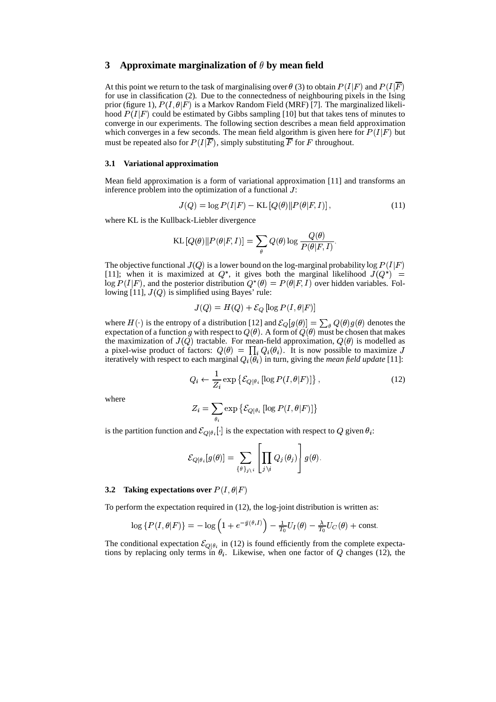# **3 Approximate marginalization of by mean field**

At this point we return to the task of marginalising over  $\theta$  (3) to obtain  $P(I|F)$  and  $P(I|F)$  $\mathbf{v}$  and  $\mathbf{v}$  and  $\mathbf{v}$  and  $\mathbf{v}$ for use in classification (2). Due to the connectedness of neighbouring pixels in the Ising prior (figure 1),  $P(I, \theta|F)$  is a Markov Random Field (MRF) [7]. The marginalized likelihood  $P(I|F)$  could be estimated by Gibbs sampling [10] but that takes tens of minutes to converge in our experiments. The following section describes a mean field approximation which converges in a few seconds. The mean field algorithm is given here for  $P(I|F)$  but must be repeated also for  $P(I|F)$ , simply substituting F for F throughout.

#### **3.1 Variational approximation**

Mean field approximation is a form of variational approximation [11] and transforms an inference problem into the optimization of a functional  $J$ :

$$
J(Q) = \log P(I|F) - \text{KL}[Q(\theta) || P(\theta|F, I)],\tag{11}
$$

where KL is the Kullback-Liebler divergence

$$
\text{KL}[Q(\theta) \| P(\theta|F, I)] = \sum_{\theta} Q(\theta) \log \frac{Q(\theta)}{P(\theta|F, I)}.
$$

The objective functional  $J(Q)$  is a lower bound on the log-marginal probability log  $P(I|F)$ [11]; when it is maximized at  $Q^*$ , it gives both the marginal likelihood  $J(Q^*)$  =  $\log P(I|F)$ , and the posterior distribution  $Q^*(\theta) = P(\theta|F, I)$  over hidden variables. Following [11],  $J(Q)$  is simplified using Bayes' rule:

$$
J(Q) = H(Q) + \mathcal{E}_Q [\log P(I, \theta | F)]
$$

where  $H(\cdot)$  is the entropy of a distribution [12] and  $\mathcal{E}_Q[g(\theta)] = \sum_A Q(\theta)g(\theta)$  denotes the expectation of a function g with respect to  $Q(\theta)$ . A form of  $Q(\theta)$  must be chosen that makes the maximization of  $J(Q)$  tractable. For mean-field approximation,  $Q(\theta)$  is modelled as a pixel-wise product of factors:  $Q(\theta) = \prod_i Q_i(\theta_i)$ . It is now  $i(\theta_i)$ . It is now possible to maximize J iteratively with respect to each marginal  $Q_i(\theta_i)$  in turn, gi  $\overline{h}_i(\vec{\theta}_i)$  in turn, giving the *mean field update* [11]:

$$
Q_i \leftarrow \frac{1}{Z_i} \exp \left\{ \mathcal{E}_{Q|\theta_i} \left[ \log P(I, \theta | F) \right] \right\},\tag{12}
$$

where

$$
Z_i = \sum_{\theta_i} \exp \left\{ \mathcal{E}_{Q|\theta_i} \left[ \log P(I, \theta | F) \right] \right\}
$$

is the partition function and  $\mathcal{E}_{\mathcal{O}[\theta_i]}$  is the expectation with respect to  $Q$  given  $\theta_i$ :

$$
\mathcal{E}_{Q|\theta_i}[g(\theta)] = \sum_{\{\theta\}_{j\backslash i}} \left[\prod_{j\backslash i} Q_j(\theta_j)\right] g(\theta).
$$

#### **3.2 Taking expectations over**  $P(I, \theta|F)$  $\mathbf{v}$  and  $\mathbf{v}$  and  $\mathbf{v}$  and  $\mathbf{v}$

To perform the expectation required in  $(12)$ , the log-joint distribution is written as:

$$
\log\{P(I,\theta|F)\} = -\log\left(1 + e^{-\tilde{y}(\theta,I)}\right) - \frac{1}{T_0}U_I(\theta) - \frac{\lambda}{T_0}U_C(\theta) + \text{const.}
$$

The conditional expectation  $\mathcal{E}_{\mathcal{O}|\theta_i}$  in (12) is found efficiently from the complete expectations by replacing only terms in  $\theta_i$ . Likewise, when one factor of Q changes (12), the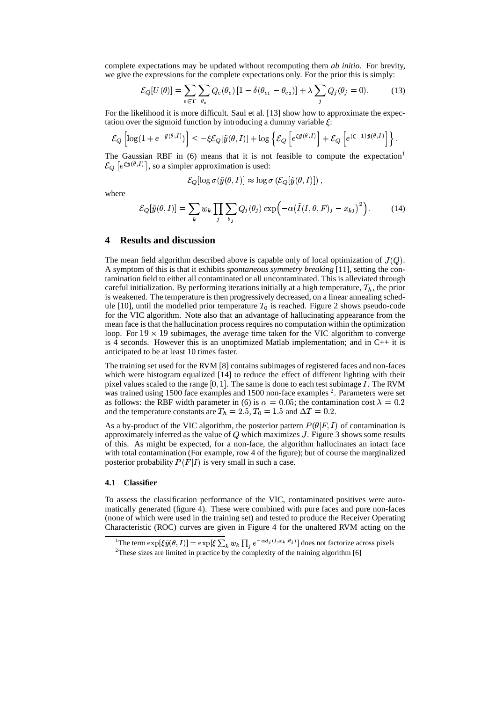complete expectations may be updated without recomputing them *ab initio*. For brevity, we give the expressions for the complete expectations only. For the prior this is simply:

$$
\mathcal{E}_{Q}[U(\theta)] = \sum_{e \in \Upsilon} \sum_{\theta_e} Q_e(\theta_e) \left[ 1 - \delta(\theta_{e_1} - \theta_{e_2}) \right] + \lambda \sum_j Q_j(\theta_j = 0). \tag{13}
$$

For the likelihood it is more difficult. Saul et al. [13] show how to approximate the expectation over the sigmoid function by introducing a dummy variable  $\xi$ :

$$
\mathcal{E}_Q\left[\log(1+e^{-\tilde{y}(\theta,I)})\right] \leq -\xi \mathcal{E}_Q[\tilde{y}(\theta,I)] + \log\left\{\mathcal{E}_Q\left[e^{\xi \tilde{y}(\theta,I)}\right] + \mathcal{E}_Q\left[e^{(\xi-1)\tilde{y}(\theta,I)}\right]\right\}.
$$

The Gaussian RBF in  $(6)$  means that it is not feasible to compute the expectation<sup>1</sup>  $\mathcal{E}_{\Omega}$   $|e^{\xi y(\theta,I)}|$ , so a sim  $\left(\theta, I\right)$ , so a simpler approximation is used:

$$
\mathcal{E}_Q[\log \sigma(\tilde{y}(\theta, I)] \approx \log \sigma (\mathcal{E}_Q[\tilde{y}(\theta, I)]),
$$

where

$$
\mathcal{E}_{Q}[\tilde{y}(\theta, I)] = \sum_{k} w_k \prod_{j} \sum_{\theta_j} Q_j(\theta_j) \exp(-\alpha (\tilde{I}(I, \theta, F)_j - x_{kj})^2).
$$
 (14)

## **4 Results and discussion**

The mean field algorithm described above is capable only of local optimization of  $J(Q)$ . A symptom of this is that it exhibits *spontaneous symmetry breaking* [11], setting the contamination field to either all contaminated or all uncontaminated. This is alleviated through careful initialization. By performing iterations initially at a high temperature,  $T_h$ , the prior is weakened. The temperature is then progressively decreased, on a linear annealing schedule [10], until the modelled prior temperature  $T_0$  is reached. Figure 2 shows pseudo-code for the VIC algorithm. Note also that an advantage of hallucinating appearance from the mean face is that the hallucination process requires no computation within the optimization loop. For  $19 \times 19$  subimages, the average time taken for the VIC algorithm to converge is 4 seconds. However this is an unoptimized Matlab implementation; and in  $C_{++}$  it is anticipated to be at least 10 times faster.

The training set used for the RVM [8] contains subimages of registered faces and non-faces which were histogram equalized [14] to reduce the effect of different lighting with their pixel values scaled to the range  $[0, 1]$ . The same is done to each test subimage  $I$ . The RVM was trained using 1500 face examples and 1500 non-face examples  $2$ . Parameters were set as follows: the RBF width parameter in (6) is  $\alpha = 0.05$ ; the contamination cost  $\lambda = 0.2$ and the temperature constants are  $T_h = 2.5, T_0 = 1.5$  and  $\Delta T = 0.2$ .

As a by-product of the VIC algorithm, the posterior pattern  $P(\theta|F, I)$  of contamination is approximately inferred as the value of  $Q$  which maximizes  $J$ . Figure 3 shows some results of this. As might be expected, for a non-face, the algorithm hallucinates an intact face with total contamination (For example, row 4 of the figure); but of course the marginalized posterior probability  $P(F|I)$  is very small in such a case.

#### **4.1 Classifier**

To assess the classification performance of the VIC, contaminated positives were automatically generated (figure 4). These were combined with pure faces and pure non-faces (none of which were used in the training set) and tested to produce the Receiver Operating Characteristic (ROC) curves are given in Figure 4 for the unaltered RVM acting on the

<sup>&</sup>lt;sup>1</sup>The term  $\exp[\xi \tilde{y}(\theta, I)] = \exp[\xi \sum_k w_k \prod_i e^{-\alpha d_j(I, x_k | \theta_j)}]$  does not factorize across pixels

<sup>&</sup>lt;sup>2</sup>These sizes are limited in practice by the complexity of the training algorithm [6]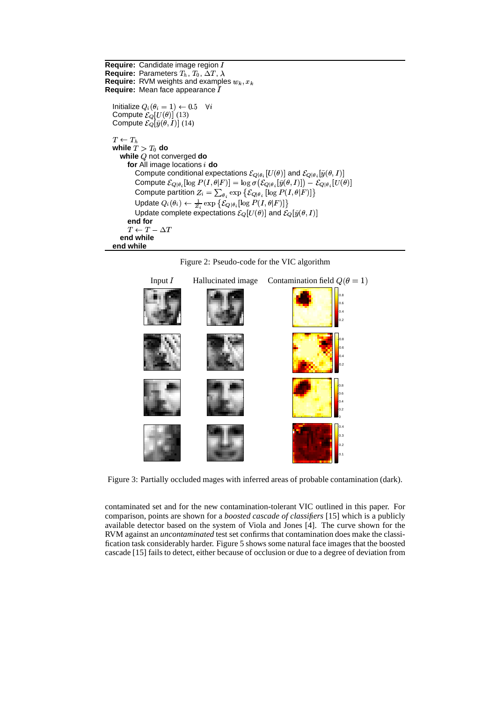```
Require: Candidate image region 
Require: Parameters T_h, T_0, \Delta T, \lambdaRequire: RVM weights and examples w_k, x_kRequire: Mean face appearance 

   Initialize Q_i(\theta_i=1) \leftarrow 0.5 \quad \forall iCompute \mathcal{E}_Q[U(\theta)] (13)
   Compute \mathcal{E}_{Q}[\tilde{y}(\theta, I)] (14)
   T \leftarrow T_hwhile \overset{\shortparallel }{T}>T_{0} do
      while Q not converged do
          for All image locations 
do
             Compute conditional expectations \mathcal{E}_{O|\theta_i}[U(\theta)] and \mathcal{E}_{O|\theta_i}[\tilde{y}(\theta,I)]Compute \mathcal{E}_{O|\theta_i}[\log P(I,\theta|F)]=\log \sigma(\mathcal{E}_{O|\theta_i}[\tilde{y}(\theta,I)])-\mathcal{E}_{O|\theta_i}[U(\theta)]Compute partition Z_i = \sum_{\theta_i} \exp \{ \mathcal{E}_{O|\theta_i} \left[ \log P(I, \theta | F) \right] \}Update Q_i(\theta_i) \leftarrow \frac{1}{Z_i} \exp \{ \mathcal{E}_{Q|\theta_i} [\log P(I, \theta|F)] \}Update complete expectations \mathcal{E}_{Q}[U(\theta)] and \mathcal{E}_{Q}[\tilde{y}(\theta, I)]end for
          T \leftarrow T = \Delta Tend while
   end while
```




Figure 3: Partially occluded mages with inferred areas of probable contamination (dark).

contaminated set and for the new contamination-tolerant VIC outlined in this paper. For comparison, points are shown for a *boosted cascade of classifiers* [15] which is a publicly available detector based on the system of Viola and Jones [4]. The curve shown for the RVM against an *uncontaminated* test set confirms that contamination does make the classification task considerably harder. Figure 5 shows some natural face images that the boosted cascade [15] fails to detect, either because of occlusion or due to a degree of deviation from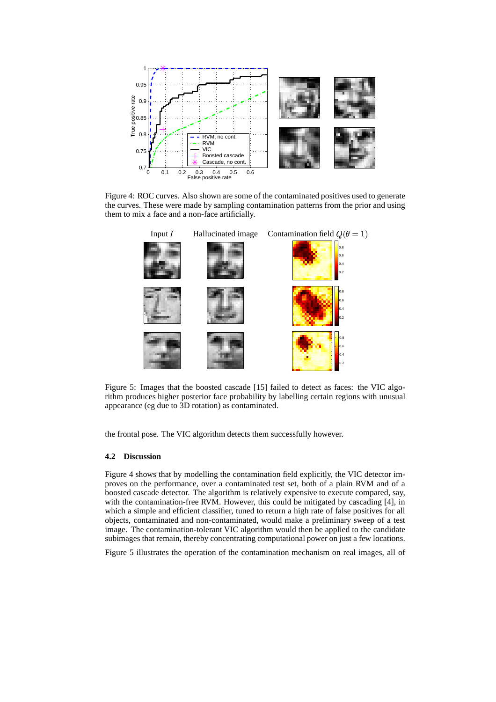

Figure 4: ROC curves. Also shown are some of the contaminated positives used to generate the curves. These were made by sampling contamination patterns from the prior and using them to mix a face and a non-face artificially.



Figure 5: Images that the boosted cascade [15] failed to detect as faces: the VIC algorithm produces higher posterior face probability by labelling certain regions with unusual appearance (eg due to 3D rotation) as contaminated.

the frontal pose. The VIC algorithm detects them successfully however.

# **4.2 Discussion**

Figure 4 shows that by modelling the contamination field explicitly, the VIC detector improves on the performance, over a contaminated test set, both of a plain RVM and of a boosted cascade detector. The algorithm is relatively expensive to execute compared, say, with the contamination-free RVM. However, this could be mitigated by cascading [4], in which a simple and efficient classifier, tuned to return a high rate of false positives for all objects, contaminated and non-contaminated, would make a preliminary sweep of a test image. The contamination-tolerant VIC algorithm would then be applied to the candidate subimages that remain, thereby concentrating computational power on just a few locations.

Figure 5 illustrates the operation of the contamination mechanism on real images, all of